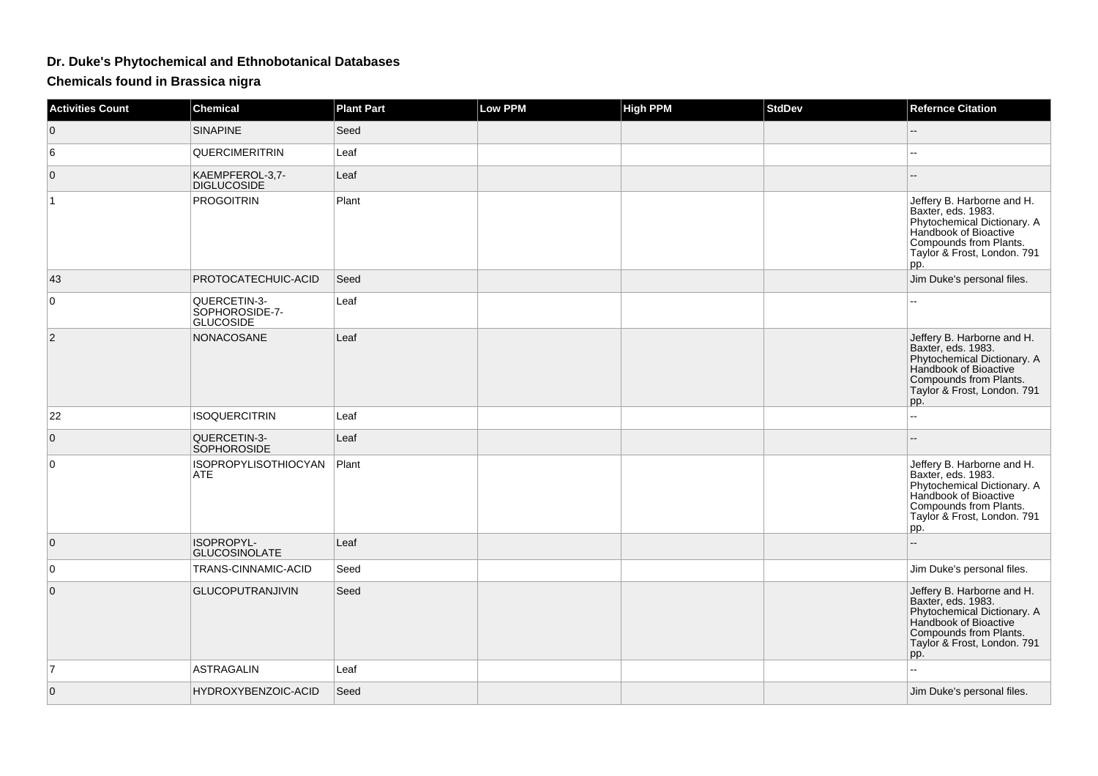## **Dr. Duke's Phytochemical and Ethnobotanical Databases**

**Chemicals found in Brassica nigra**

| <b>Activities Count</b> | <b>Chemical</b>                                    | <b>Plant Part</b> | <b>Low PPM</b> | <b>High PPM</b> | <b>StdDev</b> | <b>Refernce Citation</b>                                                                                                                                                 |
|-------------------------|----------------------------------------------------|-------------------|----------------|-----------------|---------------|--------------------------------------------------------------------------------------------------------------------------------------------------------------------------|
| $\overline{0}$          | <b>SINAPINE</b>                                    | Seed              |                |                 |               |                                                                                                                                                                          |
| 6                       | QUERCIMERITRIN                                     | Leaf              |                |                 |               | --                                                                                                                                                                       |
| $\overline{0}$          | KAEMPFEROL-3,7-<br><b>DIGLUCOSIDE</b>              | Leaf              |                |                 |               |                                                                                                                                                                          |
| 1                       | <b>PROGOITRIN</b>                                  | Plant             |                |                 |               | Jeffery B. Harborne and H.<br>Baxter, eds. 1983.<br>Phytochemical Dictionary. A<br>Handbook of Bioactive<br>Compounds from Plants.<br>Taylor & Frost, London. 791<br>pp. |
| 43                      | PROTOCATECHUIC-ACID                                | Seed              |                |                 |               | Jim Duke's personal files.                                                                                                                                               |
| $\overline{0}$          | QUERCETIN-3-<br>SOPHOROSIDE-7-<br><b>GLUCOSIDE</b> | Leaf              |                |                 |               |                                                                                                                                                                          |
| 2                       | NONACOSANE                                         | Leaf              |                |                 |               | Jeffery B. Harborne and H.<br>Baxter, eds. 1983.<br>Phytochemical Dictionary. A<br>Handbook of Bioactive<br>Compounds from Plants.<br>Taylor & Frost, London. 791<br>pp. |
| 22                      | <b>ISOQUERCITRIN</b>                               | Leaf              |                |                 |               | $\overline{a}$                                                                                                                                                           |
| $\overline{0}$          | QUERCETIN-3-<br>SOPHOROSIDE                        | Leaf              |                |                 |               |                                                                                                                                                                          |
| $\overline{0}$          | <b>ISOPROPYLISOTHIOCYAN</b><br><b>ATE</b>          | Plant             |                |                 |               | Jeffery B. Harborne and H.<br>Baxter, eds. 1983.<br>Phytochemical Dictionary. A<br>Handbook of Bioactive<br>Compounds from Plants.<br>Taylor & Frost, London. 791<br>pp. |
| $\overline{0}$          | ISOPROPYL-<br><b>GLUCOSINOLATE</b>                 | Leaf              |                |                 |               |                                                                                                                                                                          |
| $\overline{0}$          | TRANS-CINNAMIC-ACID                                | Seed              |                |                 |               | Jim Duke's personal files.                                                                                                                                               |
| $\mathbf{0}$            | <b>GLUCOPUTRANJIVIN</b>                            | Seed              |                |                 |               | Jeffery B. Harborne and H.<br>Baxter, eds. 1983.<br>Phytochemical Dictionary. A<br>Handbook of Bioactive<br>Compounds from Plants.<br>Taylor & Frost, London. 791<br>pp. |
| $\overline{7}$          | <b>ASTRAGALIN</b>                                  | Leaf              |                |                 |               | $\overline{a}$                                                                                                                                                           |
| $\mathbf{0}$            | HYDROXYBENZOIC-ACID                                | Seed              |                |                 |               | Jim Duke's personal files.                                                                                                                                               |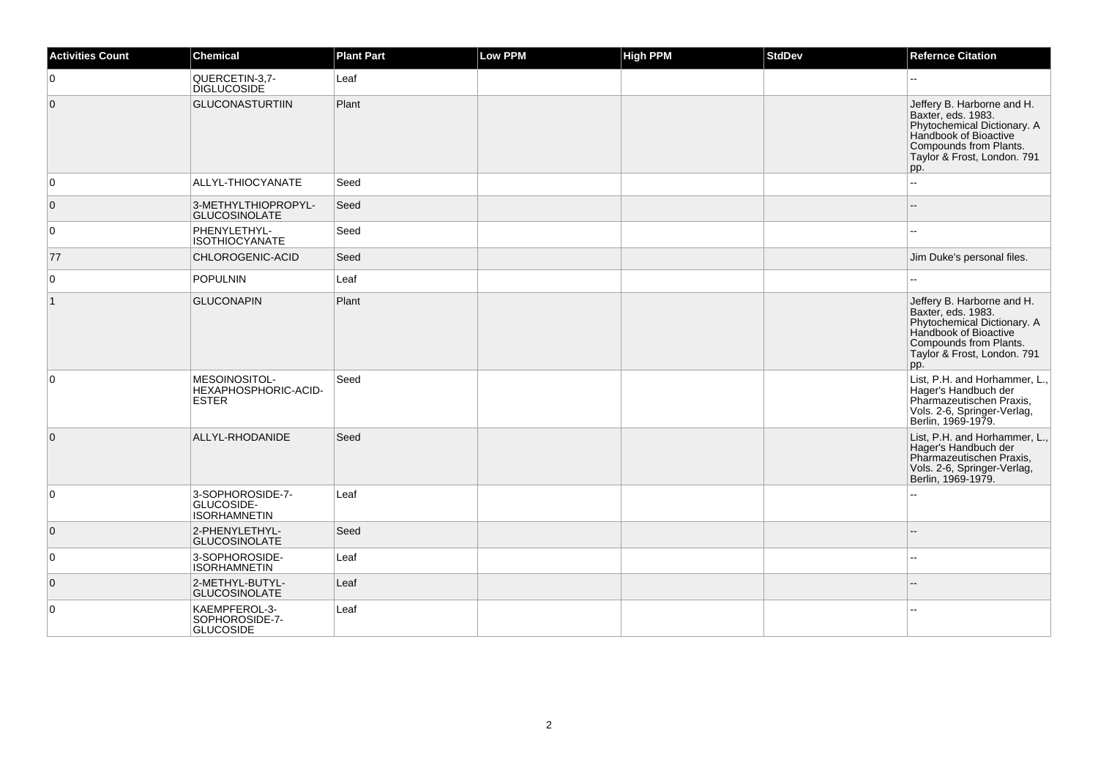| <b>Activities Count</b> | <b>Chemical</b>                                       | <b>Plant Part</b> | Low PPM | <b>High PPM</b> | <b>StdDev</b> | <b>Refernce Citation</b>                                                                                                                                                 |
|-------------------------|-------------------------------------------------------|-------------------|---------|-----------------|---------------|--------------------------------------------------------------------------------------------------------------------------------------------------------------------------|
| $\overline{0}$          | QUERCETIN-3,7-<br><b>DIGLUCOSIDE</b>                  | Leaf              |         |                 |               | $\overline{a}$                                                                                                                                                           |
| $\overline{0}$          | <b>GLUCONASTURTIIN</b>                                | Plant             |         |                 |               | Jeffery B. Harborne and H.<br>Baxter, eds. 1983.<br>Phytochemical Dictionary. A<br>Handbook of Bioactive<br>Compounds from Plants.<br>Taylor & Frost, London. 791<br>pp. |
| $\overline{0}$          | ALLYL-THIOCYANATE                                     | Seed              |         |                 |               |                                                                                                                                                                          |
| $\overline{0}$          | 3-METHYLTHIOPROPYL-<br><b>GLUCOSINOLATE</b>           | Seed              |         |                 |               |                                                                                                                                                                          |
| $\overline{0}$          | PHENYLETHYL-<br><b>ISOTHIOCYANATE</b>                 | Seed              |         |                 |               | $\sim$                                                                                                                                                                   |
| 77                      | CHLOROGENIC-ACID                                      | Seed              |         |                 |               | Jim Duke's personal files.                                                                                                                                               |
| $\overline{0}$          | POPULNIN                                              | Leaf              |         |                 |               |                                                                                                                                                                          |
| $\vert$ 1               | <b>GLUCONAPIN</b>                                     | Plant             |         |                 |               | Jeffery B. Harborne and H.<br>Baxter, eds. 1983.<br>Phytochemical Dictionary. A<br>Handbook of Bioactive<br>Compounds from Plants.<br>Taylor & Frost, London. 791<br>pp. |
| $\overline{0}$          | MESOINOSITOL-<br>HEXAPHOSPHORIC-ACID-<br><b>ESTER</b> | Seed              |         |                 |               | List, P.H. and Horhammer, L.,<br>Hager's Handbuch der<br>Pharmazeutischen Praxis,<br>Vols. 2-6, Springer-Verlag,<br>Berlin, 1969-1979.                                   |
| $\overline{0}$          | ALLYL-RHODANIDE                                       | Seed              |         |                 |               | List, P.H. and Horhammer, L.,<br>Hager's Handbuch der<br>Pharmazeutischen Praxis,<br>Vols. 2-6, Springer-Verlag,<br>Berlin, 1969-1979.                                   |
| $\overline{0}$          | 3-SOPHOROSIDE-7-<br>GLUCOSIDE-<br><b>ISORHAMNETIN</b> | Leaf              |         |                 |               |                                                                                                                                                                          |
| $\overline{0}$          | 2-PHENYLETHYL-<br><b>GLUCOSINOLATE</b>                | Seed              |         |                 |               |                                                                                                                                                                          |
| 0                       | 3-SOPHOROSIDE-<br><b>ISORHAMNETIN</b>                 | Leaf              |         |                 |               |                                                                                                                                                                          |
| $\overline{0}$          | 2-METHYL-BUTYL-<br><b>GLUCOSINOLATE</b>               | Leaf              |         |                 |               |                                                                                                                                                                          |
| $\overline{0}$          | KAEMPFEROL-3-<br>SOPHOROSIDE-7-<br><b>GLUCOSIDE</b>   | Leaf              |         |                 |               |                                                                                                                                                                          |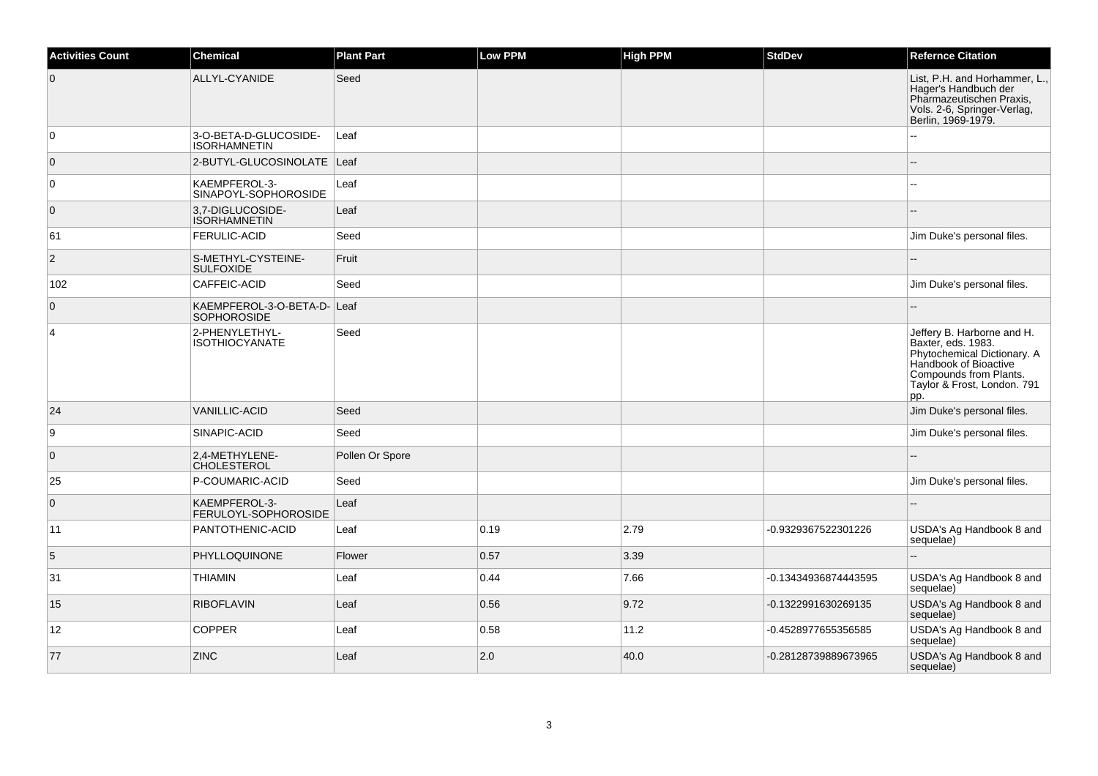| <b>Activities Count</b> | <b>Chemical</b>                                   | <b>Plant Part</b> | <b>Low PPM</b> | High PPM | <b>StdDev</b>        | <b>Refernce Citation</b>                                                                                                                                                 |
|-------------------------|---------------------------------------------------|-------------------|----------------|----------|----------------------|--------------------------------------------------------------------------------------------------------------------------------------------------------------------------|
| $\overline{0}$          | ALLYL-CYANIDE                                     | Seed              |                |          |                      | List, P.H. and Horhammer, L.,<br>Hager's Handbuch der<br>Pharmazeutischen Praxis,<br>Vols. 2-6, Springer-Verlag,<br>Berlin, 1969-1979.                                   |
| $\overline{0}$          | 3-O-BETA-D-GLUCOSIDE-<br><b>ISORHAMNETIN</b>      | Leaf              |                |          |                      |                                                                                                                                                                          |
| $\overline{0}$          | 2-BUTYL-GLUCOSINOLATE   Leaf                      |                   |                |          |                      |                                                                                                                                                                          |
| $\overline{0}$          | KAEMPFEROL-3-<br>SINAPOYL-SOPHOROSIDE             | Leaf              |                |          |                      |                                                                                                                                                                          |
| $\overline{0}$          | 3.7-DIGLUCOSIDE-<br><b>ISORHAMNETIN</b>           | Leaf              |                |          |                      |                                                                                                                                                                          |
| 61                      | <b>FERULIC-ACID</b>                               | Seed              |                |          |                      | Jim Duke's personal files.                                                                                                                                               |
| $\overline{2}$          | S-METHYL-CYSTEINE-<br><b>SULFOXIDE</b>            | Fruit             |                |          |                      |                                                                                                                                                                          |
| 102                     | CAFFEIC-ACID                                      | Seed              |                |          |                      | Jim Duke's personal files.                                                                                                                                               |
| $\overline{0}$          | KAEMPFEROL-3-O-BETA-D- Leaf<br><b>SOPHOROSIDE</b> |                   |                |          |                      |                                                                                                                                                                          |
| $\overline{4}$          | 2-PHENYLETHYL-<br><b>ISOTHIOCYANATE</b>           | Seed              |                |          |                      | Jeffery B. Harborne and H.<br>Baxter, eds. 1983.<br>Phytochemical Dictionary. A<br>Handbook of Bioactive<br>Compounds from Plants.<br>Taylor & Frost, London. 791<br>pp. |
| 24                      | <b>VANILLIC-ACID</b>                              | Seed              |                |          |                      | Jim Duke's personal files.                                                                                                                                               |
| 9                       | SINAPIC-ACID                                      | Seed              |                |          |                      | Jim Duke's personal files.                                                                                                                                               |
| $\overline{0}$          | 2,4-METHYLENE-<br><b>CHOLESTEROL</b>              | Pollen Or Spore   |                |          |                      |                                                                                                                                                                          |
| 25                      | P-COUMARIC-ACID                                   | Seed              |                |          |                      | Jim Duke's personal files.                                                                                                                                               |
| $\overline{0}$          | KAEMPFEROL-3-<br>FERULOYL-SOPHOROSIDE             | Leaf              |                |          |                      |                                                                                                                                                                          |
| 11                      | PANTOTHENIC-ACID                                  | Leaf              | 0.19           | 2.79     | -0.9329367522301226  | USDA's Ag Handbook 8 and<br>sequelae)                                                                                                                                    |
| 5                       | PHYLLOQUINONE                                     | Flower            | 0.57           | 3.39     |                      |                                                                                                                                                                          |
| 31                      | <b>THIAMIN</b>                                    | Leaf              | 0.44           | 7.66     | -0.13434936874443595 | USDA's Ag Handbook 8 and<br>sequelae)                                                                                                                                    |
| 15                      | <b>RIBOFLAVIN</b>                                 | Leaf              | 0.56           | 9.72     | -0.1322991630269135  | USDA's Ag Handbook 8 and<br>sequelae)                                                                                                                                    |
| 12                      | <b>COPPER</b>                                     | Leaf              | 0.58           | 11.2     | -0.4528977655356585  | USDA's Ag Handbook 8 and<br>sequelae)                                                                                                                                    |
| 77                      | <b>ZINC</b>                                       | Leaf              | 2.0            | 40.0     | -0.28128739889673965 | USDA's Ag Handbook 8 and<br>sequelae)                                                                                                                                    |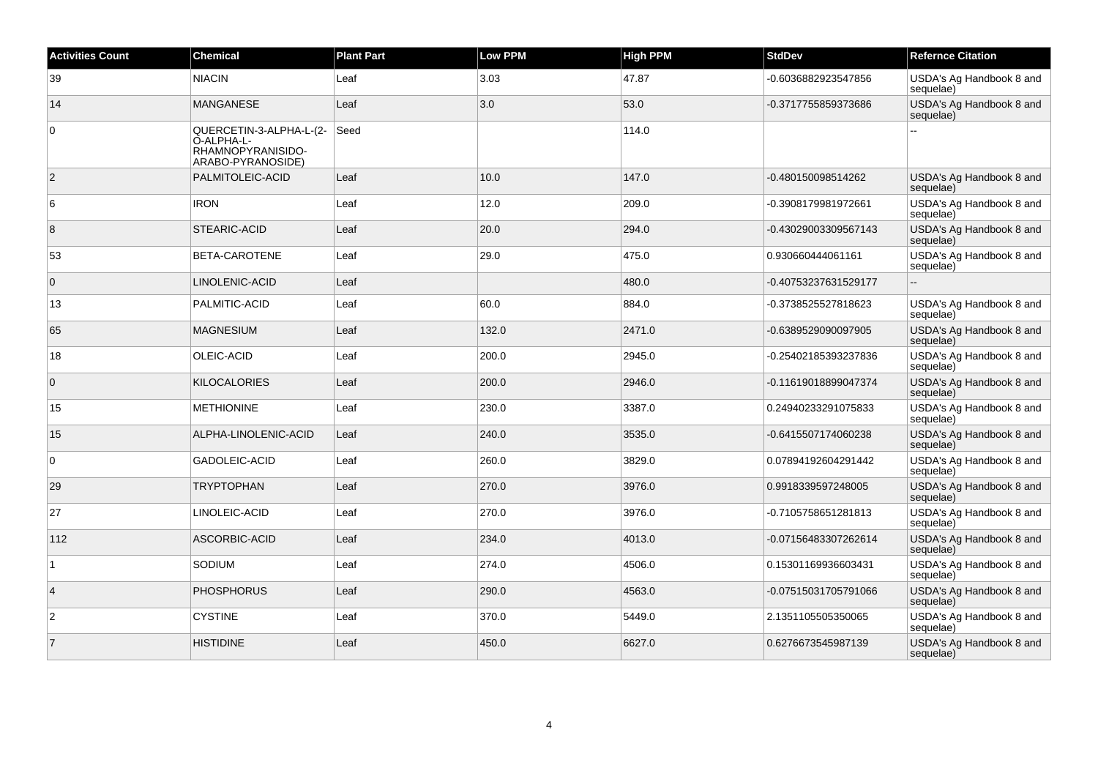| <b>Activities Count</b> | <b>Chemical</b>                                                                 | <b>Plant Part</b> | <b>Low PPM</b> | <b>High PPM</b> | <b>StdDev</b>        | <b>Refernce Citation</b>              |
|-------------------------|---------------------------------------------------------------------------------|-------------------|----------------|-----------------|----------------------|---------------------------------------|
| 39                      | <b>NIACIN</b>                                                                   | Leaf              | 3.03           | 47.87           | -0.6036882923547856  | USDA's Ag Handbook 8 and<br>sequelae) |
| 14                      | <b>MANGANESE</b>                                                                | Leaf              | 3.0            | 53.0            | -0.3717755859373686  | USDA's Ag Handbook 8 and<br>sequelae) |
| $\mathbf 0$             | QUERCETIN-3-ALPHA-L-(2-<br>O-ALPHA-L-<br>RHAMNOPYRANISIDO-<br>ARABO-PYRANOSIDE) | Seed              |                | 114.0           |                      |                                       |
| $\overline{2}$          | PALMITOLEIC-ACID                                                                | Leaf              | 10.0           | 147.0           | -0.480150098514262   | USDA's Ag Handbook 8 and<br>sequelae) |
| 6                       | <b>IRON</b>                                                                     | Leaf              | 12.0           | 209.0           | -0.3908179981972661  | USDA's Ag Handbook 8 and<br>sequelae) |
| 8                       | <b>STEARIC-ACID</b>                                                             | Leaf              | 20.0           | 294.0           | -0.43029003309567143 | USDA's Ag Handbook 8 and<br>sequelae) |
| 53                      | BETA-CAROTENE                                                                   | Leaf              | 29.0           | 475.0           | 0.930660444061161    | USDA's Ag Handbook 8 and<br>sequelae) |
| $\mathbf 0$             | LINOLENIC-ACID                                                                  | Leaf              |                | 480.0           | -0.40753237631529177 |                                       |
| 13                      | PALMITIC-ACID                                                                   | Leaf              | 60.0           | 884.0           | -0.3738525527818623  | USDA's Ag Handbook 8 and<br>sequelae) |
| 65                      | <b>MAGNESIUM</b>                                                                | Leaf              | 132.0          | 2471.0          | -0.6389529090097905  | USDA's Ag Handbook 8 and<br>sequelae) |
| 18                      | OLEIC-ACID                                                                      | Leaf              | 200.0          | 2945.0          | -0.25402185393237836 | USDA's Ag Handbook 8 and<br>sequelae) |
| $\overline{0}$          | <b>KILOCALORIES</b>                                                             | Leaf              | 200.0          | 2946.0          | -0.11619018899047374 | USDA's Ag Handbook 8 and<br>sequelae) |
| 15                      | <b>METHIONINE</b>                                                               | Leaf              | 230.0          | 3387.0          | 0.24940233291075833  | USDA's Ag Handbook 8 and<br>sequelae) |
| 15                      | ALPHA-LINOLENIC-ACID                                                            | Leaf              | 240.0          | 3535.0          | -0.6415507174060238  | USDA's Ag Handbook 8 and<br>sequelae) |
| $\mathbf 0$             | GADOLEIC-ACID                                                                   | Leaf              | 260.0          | 3829.0          | 0.07894192604291442  | USDA's Ag Handbook 8 and<br>sequelae) |
| 29                      | <b>TRYPTOPHAN</b>                                                               | Leaf              | 270.0          | 3976.0          | 0.9918339597248005   | USDA's Ag Handbook 8 and<br>sequelae) |
| 27                      | LINOLEIC-ACID                                                                   | Leaf              | 270.0          | 3976.0          | -0.7105758651281813  | USDA's Ag Handbook 8 and<br>sequelae) |
| 112                     | ASCORBIC-ACID                                                                   | Leaf              | 234.0          | 4013.0          | -0.07156483307262614 | USDA's Ag Handbook 8 and<br>sequelae) |
| $\mathbf{1}$            | SODIUM                                                                          | Leaf              | 274.0          | 4506.0          | 0.15301169936603431  | USDA's Ag Handbook 8 and<br>sequelae) |
| $\overline{4}$          | <b>PHOSPHORUS</b>                                                               | Leaf              | 290.0          | 4563.0          | -0.07515031705791066 | USDA's Ag Handbook 8 and<br>sequelae) |
| 2                       | <b>CYSTINE</b>                                                                  | Leaf              | 370.0          | 5449.0          | 2.1351105505350065   | USDA's Ag Handbook 8 and<br>sequelae) |
| $\overline{7}$          | <b>HISTIDINE</b>                                                                | Leaf              | 450.0          | 6627.0          | 0.6276673545987139   | USDA's Ag Handbook 8 and<br>sequelae) |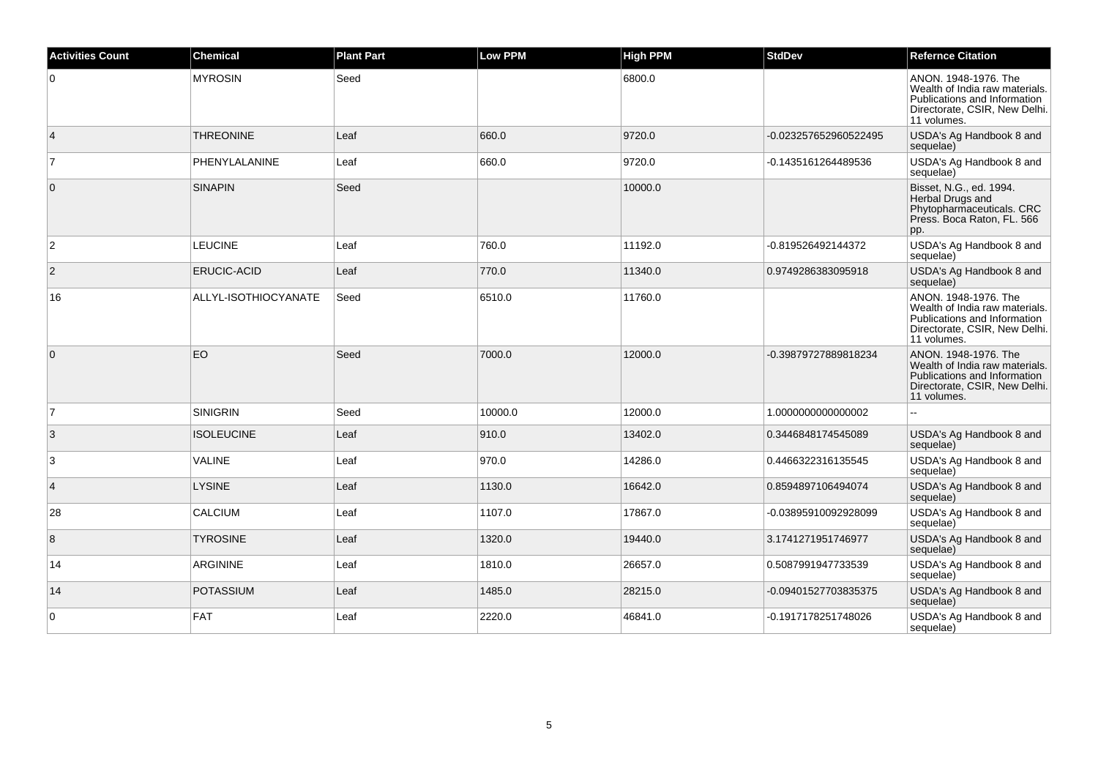| <b>Activities Count</b> | <b>Chemical</b>      | <b>Plant Part</b> | <b>Low PPM</b> | <b>High PPM</b> | <b>StdDev</b>         | <b>Refernce Citation</b>                                                                                                               |
|-------------------------|----------------------|-------------------|----------------|-----------------|-----------------------|----------------------------------------------------------------------------------------------------------------------------------------|
| $\overline{0}$          | <b>MYROSIN</b>       | Seed              |                | 6800.0          |                       | ANON. 1948-1976. The<br>Wealth of India raw materials.<br>Publications and Information<br>Directorate, CSIR, New Delhi.<br>11 volumes. |
| $\vert 4 \vert$         | <b>THREONINE</b>     | Leaf              | 660.0          | 9720.0          | -0.023257652960522495 | USDA's Ag Handbook 8 and<br>sequelae)                                                                                                  |
| 7                       | PHENYLALANINE        | Leaf              | 660.0          | 9720.0          | -0.1435161264489536   | USDA's Ag Handbook 8 and<br>sequelae)                                                                                                  |
| $\overline{0}$          | <b>SINAPIN</b>       | Seed              |                | 10000.0         |                       | Bisset, N.G., ed. 1994.<br>Herbal Drugs and<br>Phytopharmaceuticals. CRC<br>Press. Boca Raton, FL. 566<br>pp.                          |
| $\overline{2}$          | <b>LEUCINE</b>       | Leaf              | 760.0          | 11192.0         | -0.819526492144372    | USDA's Ag Handbook 8 and<br>sequelae)                                                                                                  |
| $\overline{2}$          | <b>ERUCIC-ACID</b>   | Leaf              | 770.0          | 11340.0         | 0.9749286383095918    | USDA's Ag Handbook 8 and<br>sequelae)                                                                                                  |
| 16                      | ALLYL-ISOTHIOCYANATE | Seed              | 6510.0         | 11760.0         |                       | ANON. 1948-1976. The<br>Wealth of India raw materials.<br>Publications and Information<br>Directorate, CSIR, New Delhi.<br>11 volumes. |
| $\overline{0}$          | EO                   | Seed              | 7000.0         | 12000.0         | -0.39879727889818234  | ANON. 1948-1976. The<br>Wealth of India raw materials.<br>Publications and Information<br>Directorate, CSIR, New Delhi.<br>11 volumes. |
| 17                      | <b>SINIGRIN</b>      | Seed              | 10000.0        | 12000.0         | 1.0000000000000002    |                                                                                                                                        |
| 3                       | <b>ISOLEUCINE</b>    | Leaf              | 910.0          | 13402.0         | 0.3446848174545089    | USDA's Ag Handbook 8 and<br>sequelae)                                                                                                  |
| $\overline{3}$          | <b>VALINE</b>        | Leaf              | 970.0          | 14286.0         | 0.4466322316135545    | USDA's Ag Handbook 8 and<br>sequelae)                                                                                                  |
| $\vert$ 4               | <b>LYSINE</b>        | Leaf              | 1130.0         | 16642.0         | 0.8594897106494074    | USDA's Ag Handbook 8 and<br>sequelae)                                                                                                  |
| 28                      | <b>CALCIUM</b>       | Leaf              | 1107.0         | 17867.0         | -0.03895910092928099  | USDA's Ag Handbook 8 and<br>sequelae)                                                                                                  |
| 8                       | <b>TYROSINE</b>      | Leaf              | 1320.0         | 19440.0         | 3.1741271951746977    | USDA's Ag Handbook 8 and<br>sequelae)                                                                                                  |
| 14                      | ARGININE             | Leaf              | 1810.0         | 26657.0         | 0.5087991947733539    | USDA's Ag Handbook 8 and<br>sequelae)                                                                                                  |
| 14                      | <b>POTASSIUM</b>     | Leaf              | 1485.0         | 28215.0         | -0.09401527703835375  | USDA's Ag Handbook 8 and<br>sequelae)                                                                                                  |
| 0                       | FAT                  | Leaf              | 2220.0         | 46841.0         | -0.1917178251748026   | USDA's Ag Handbook 8 and<br>sequelae)                                                                                                  |